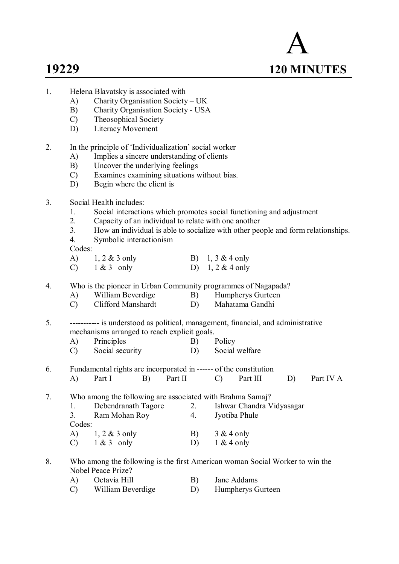- A **19229 120 MINUTES**
- 1. Helena Blavatsky is associated with
	- A) Charity Organisation Society UK<br>B) Charity Organisation Society USA
	- B) Charity Organisation Society USA
	- C) Theosophical Society
	- D) Literacy Movement
- 2. In the principle of 'Individualization' social worker
	- A) Implies a sincere understanding of clients
	- B) Uncover the underlying feelings
	- C) Examines examining situations without bias.
	- D) Begin where the client is

# 3. Social Health includes:

- 1. Social interactions which promotes social functioning and adjustment
- 2. Capacity of an individual to relate with one another
- 3. How an individual is able to socialize with other people and form relationships.
- 4. Symbolic interactionism

Codes:

- A) 1, 2 & 3 only B) 1, 3 & 4 only
- C)  $1 \& 3$  only D)  $1, 2 \& 4$  only
- 4. Who is the pioneer in Urban Community programmes of Nagapada?
	- A) William Beverdige B) Humpherys Gurteen<br>
	C) Clifford Manshardt D) Mahatama Gandhi
	- Clifford Manshardt D)

5. ----------- is understood as political, management, financial, and administrative mechanisms arranged to reach explicit goals.

- A) Principles B) Policy
- C) Social security D) Social welfare
- 6. Fundamental rights are incorporated in ------ of the constitution A) Part I B) Part II C) Part III D) Part IV A

7. Who among the following are associated with Brahma Samaj?<br>1. Debendranath Tagore 2. Ishwar Chandra V

1. Debendranath Tagore 2. Ishwar Chandra Vidyasagar<br>
3. Ram Mohan Roy 4. Jyotiba Phule 3. Ram Mohan Roy 4. Codes: A) 1, 2 & 3 only B) 3 & 4 only C)  $1 \& 3$  only D)  $1 \& 4$  only

8. Who among the following is the first American woman Social Worker to win the Nobel Peace Prize?

| A) | Octavia Hill      | B) | Jane Addams       |
|----|-------------------|----|-------------------|
| C) | William Beverdige |    | Humpherys Gurteen |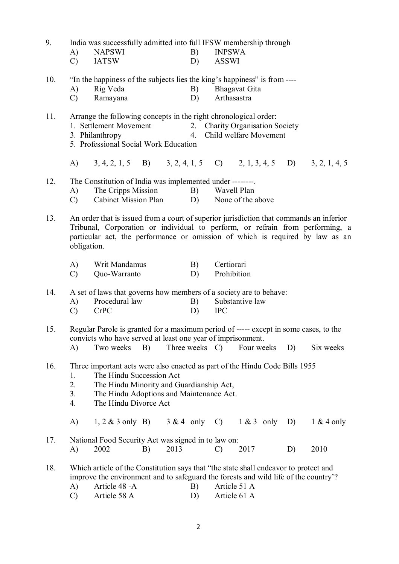| 9.  | A)<br>$\mathcal{C}$                                                                                                                                                                                                                              | India was successfully admitted into full IFSW membership through<br><b>NAPSWI</b><br><b>IATSW</b>                                                                                                                                                        |    |      | B)<br>D)       | <b>INPSWA</b><br><b>ASSWI</b> |                      |    |              |
|-----|--------------------------------------------------------------------------------------------------------------------------------------------------------------------------------------------------------------------------------------------------|-----------------------------------------------------------------------------------------------------------------------------------------------------------------------------------------------------------------------------------------------------------|----|------|----------------|-------------------------------|----------------------|----|--------------|
| 10. | A)<br>$\mathcal{C}$                                                                                                                                                                                                                              | "In the happiness of the subjects lies the king's happiness" is from ----<br>Rig Veda<br>Ramayana                                                                                                                                                         |    |      | B)<br>D)       | Arthasastra                   | <b>Bhagavat Gita</b> |    |              |
| 11. | Arrange the following concepts in the right chronological order:<br>1. Settlement Movement<br>2. Charity Organisation Society<br>Child welfare Movement<br>3. Philanthropy<br>4.<br>5. Professional Social Work Education                        |                                                                                                                                                                                                                                                           |    |      |                |                               |                      |    |              |
|     | A)                                                                                                                                                                                                                                               | $(3, 4, 2, 1, 5 \quad B)$ $(3, 2, 4, 1, 5 \quad C)$ $(2, 1, 3, 4, 5 \quad D)$ $(3, 2, 1, 4, 5)$                                                                                                                                                           |    |      |                |                               |                      |    |              |
| 12. | A)<br>$\mathcal{C}$                                                                                                                                                                                                                              | The Constitution of India was implemented under --------.<br>The Cripps Mission<br><b>Cabinet Mission Plan</b>                                                                                                                                            |    |      | B)<br>D)       | Wavell Plan                   | None of the above    |    |              |
| 13. | obligation.                                                                                                                                                                                                                                      | An order that is issued from a court of superior jurisdiction that commands an inferior<br>Tribunal, Corporation or individual to perform, or refrain from performing, a<br>particular act, the performance or omission of which is required by law as an |    |      |                |                               |                      |    |              |
|     | A)<br>$\mathcal{C}$                                                                                                                                                                                                                              | Writ Mandamus<br>Quo-Warranto                                                                                                                                                                                                                             |    |      | B)<br>D)       | Certiorari<br>Prohibition     |                      |    |              |
| 14. | A)<br>$\mathcal{C}$                                                                                                                                                                                                                              | A set of laws that governs how members of a society are to behave:<br>Procedural law<br><b>CrPC</b>                                                                                                                                                       |    |      | B)<br>D)       | <b>IPC</b>                    | Substantive law      |    |              |
| 15. | A)                                                                                                                                                                                                                                               | Regular Parole is granted for a maximum period of ----- except in some cases, to the<br>convicts who have served at least one year of imprisonment.<br>Two weeks                                                                                          | B) |      | Three weeks C) |                               | Four weeks           | D) | Six weeks    |
| 16. | Three important acts were also enacted as part of the Hindu Code Bills 1955<br>The Hindu Succession Act<br>1.<br>2.<br>The Hindu Minority and Guardianship Act,<br>3.<br>The Hindu Adoptions and Maintenance Act.<br>4.<br>The Hindu Divorce Act |                                                                                                                                                                                                                                                           |    |      |                |                               |                      |    |              |
|     | A)                                                                                                                                                                                                                                               | $1, 2 \& 3$ only B)                                                                                                                                                                                                                                       |    |      |                | $3 & 4$ only C)               | $1 & 3$ only         | D) | $1 & 4$ only |
| 17. | A)                                                                                                                                                                                                                                               | National Food Security Act was signed in to law on:<br>2002                                                                                                                                                                                               | B) | 2013 |                | $\mathcal{C}$                 | 2017                 | D) | 2010         |
| 18. | A)<br>$\mathcal{C}$                                                                                                                                                                                                                              | Which article of the Constitution says that "the state shall endeavor to protect and<br>improve the environment and to safeguard the forests and wild life of the country'?<br>Article 48 - A<br>Article 58 A                                             |    |      | B)<br>D)       | Article 51 A<br>Article 61 A  |                      |    |              |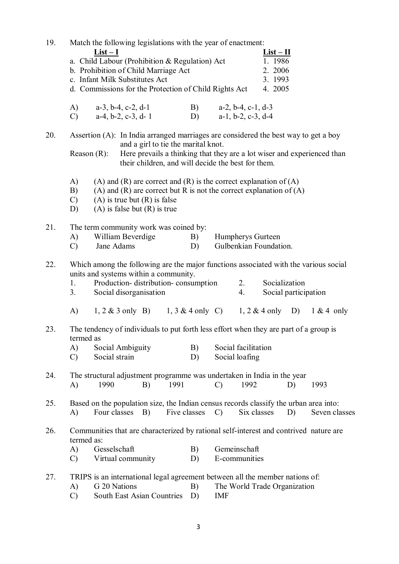| 19. | Match the following legislations with the year of enactment:<br>$List-I$<br>a. Child Labour (Prohibition & Regulation) Act<br>b. Prohibition of Child Marriage Act<br>c. Infant Milk Substitutes Act<br>d. Commissions for the Protection of Child Rights Act |                                                                                              |                                                                                                                                                                                                                                                             |    |              |                                                                                                                                           | $List-II$<br>1.1986<br>2. 2006<br>3. 1993<br>4. 2005 |                                                                |                              |    |                                                                                                        |
|-----|---------------------------------------------------------------------------------------------------------------------------------------------------------------------------------------------------------------------------------------------------------------|----------------------------------------------------------------------------------------------|-------------------------------------------------------------------------------------------------------------------------------------------------------------------------------------------------------------------------------------------------------------|----|--------------|-------------------------------------------------------------------------------------------------------------------------------------------|------------------------------------------------------|----------------------------------------------------------------|------------------------------|----|--------------------------------------------------------------------------------------------------------|
|     | (A)<br>$\mathcal{C}$ )                                                                                                                                                                                                                                        | $a-3$ , $b-4$ , $c-2$ , $d-1$                                                                | $a-4, b-2, c-3, d-1$                                                                                                                                                                                                                                        |    |              | B)<br>D)                                                                                                                                  |                                                      | $a-2$ , $b-4$ , $c-1$ , $d-3$<br>$a-1$ , $b-2$ , $c-3$ , $d-4$ |                              |    |                                                                                                        |
| 20. | Reason $(R)$ :                                                                                                                                                                                                                                                |                                                                                              | Assertion (A): In India arranged marriages are considered the best way to get a boy<br>and a girl to tie the marital knot.<br>Here prevails a thinking that they are a lot wiser and experienced than<br>their children, and will decide the best for them. |    |              |                                                                                                                                           |                                                      |                                                                |                              |    |                                                                                                        |
|     | A)<br>(A) and (R) are correct and (R) is the correct explanation of $(A)$<br>(A) and (R) are correct but R is not the correct explanation of $(A)$<br>B)<br>$(A)$ is true but $(R)$ is false<br>$\mathcal{C}$<br>$(A)$ is false but $(R)$ is true<br>D)       |                                                                                              |                                                                                                                                                                                                                                                             |    |              |                                                                                                                                           |                                                      |                                                                |                              |    |                                                                                                        |
| 21. | A)<br>$\mathcal{C}$                                                                                                                                                                                                                                           | The term community work was coined by:<br>William Beverdige<br>Jane Adams                    |                                                                                                                                                                                                                                                             |    |              | B)<br>D)                                                                                                                                  |                                                      | Humpherys Gurteen                                              | Gulbenkian Foundation.       |    |                                                                                                        |
| 22. | 1.<br>3.                                                                                                                                                                                                                                                      |                                                                                              | units and systems within a community.<br>Production- distribution- consumption<br>Social disorganisation                                                                                                                                                    |    |              | Which among the following are the major functions associated with the various social<br>Socialization<br>2.<br>4.<br>Social participation |                                                      |                                                                |                              |    |                                                                                                        |
|     | A)                                                                                                                                                                                                                                                            |                                                                                              |                                                                                                                                                                                                                                                             |    |              |                                                                                                                                           |                                                      |                                                                |                              |    | 1, 2 & 3 only B) 1, 3 & 4 only C) 1, 2 & 4 only D) 1 & 4 only                                          |
| 23. | termed as<br>A)<br>$\mathcal{C}$                                                                                                                                                                                                                              | Social Ambiguity<br>Social strain                                                            |                                                                                                                                                                                                                                                             |    |              | B)<br>D)                                                                                                                                  |                                                      | Social facilitation<br>Social loafing                          |                              |    | The tendency of individuals to put forth less effort when they are part of a group is                  |
| 24. | A)                                                                                                                                                                                                                                                            | The structural adjustment programme was undertaken in India in the year<br>1990              |                                                                                                                                                                                                                                                             | B) | 1991         |                                                                                                                                           | $\mathcal{C}$                                        | 1992                                                           |                              | D) | 1993                                                                                                   |
| 25. | A)                                                                                                                                                                                                                                                            | Four classes                                                                                 |                                                                                                                                                                                                                                                             | B) | Five classes |                                                                                                                                           | $\mathcal{C}$                                        | Six classes                                                    |                              | D) | Based on the population size, the Indian census records classify the urban area into:<br>Seven classes |
| 26. | termed as:<br>A)<br>$\mathcal{C}$                                                                                                                                                                                                                             | Gesselschaft                                                                                 | Virtual community                                                                                                                                                                                                                                           |    |              | B)<br>D)                                                                                                                                  |                                                      | Gemeinschaft<br>E-communities                                  |                              |    | Communities that are characterized by rational self-interest and contrived nature are                  |
| 27. | A)<br>$\mathcal{C}$                                                                                                                                                                                                                                           | TRIPS is an international legal agreement between all the member nations of:<br>G 20 Nations | South East Asian Countries                                                                                                                                                                                                                                  |    |              | B)<br>D)                                                                                                                                  | <b>IMF</b>                                           |                                                                | The World Trade Organization |    |                                                                                                        |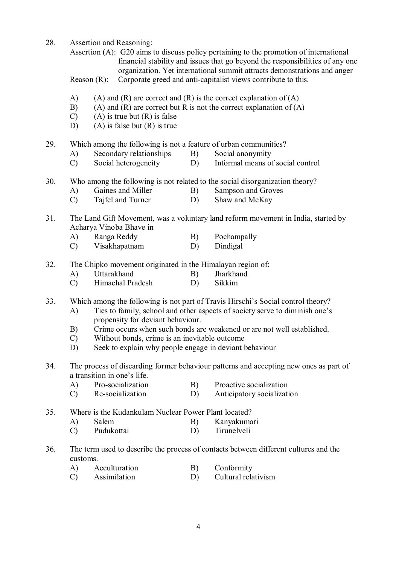28. Assertion and Reasoning:

Assertion (A): G20 aims to discuss policy pertaining to the promotion of international financial stability and issues that go beyond the responsibilities of any one organization. Yet international summit attracts demonstrations and anger

- Reason (R): Corporate greed and anti-capitalist views contribute to this.
- A) (A) and (R) are correct and (R) is the correct explanation of  $(A)$
- B) (A) and (R) are correct but R is not the correct explanation of  $(A)$
- $(C)$  (A) is true but  $(R)$  is false
- D) (A) is false but  $(R)$  is true
- 29. Which among the following is not a feature of urban communities?
	- A) Secondary relationships B) Social anonymity
	- C) Social heterogeneity D) Informal means of social control
- 30. Who among the following is not related to the social disorganization theory?
	- A) Gaines and Miller B) Sampson and Groves
	- C) Tajfel and Turner D) Shaw and McKay
- 31. The Land Gift Movement, was a voluntary land reform movement in India, started by Acharya Vinoba Bhave in
	- A) Ranga Reddy B) Pochampally
	- C) Visakhapatnam D) Dindigal
- 32. The Chipko movement originated in the Himalayan region of:
	- A) Uttarakhand B) Jharkhand
	- C) Himachal Pradesh D) Sikkim
- 33. Which among the following is not part of Travis Hirschi's Social control theory?
	- A) Ties to family, school and other aspects of society serve to diminish one's propensity for deviant behaviour.
	- B) Crime occurs when such bonds are weakened or are not well established.
	- C) Without bonds, crime is an inevitable outcome
	- D) Seek to explain why people engage in deviant behaviour
- 34. The process of discarding former behaviour patterns and accepting new ones as part of a transition in one's life.
	- A) Pro-socialization B) Proactive socialization<br>
	C) Re-socialization D) Anticipatory socialization
	- Anticipatory socialization

35. Where is the Kudankulam Nuclear Power Plant located?

- A) Salem B) Kanyakumari
- C) Pudukottai D) Tirunelveli
- 36. The term used to describe the process of contacts between different cultures and the customs.
	- A) Acculturation B) Conformity
	- C) Assimilation D) Cultural relativism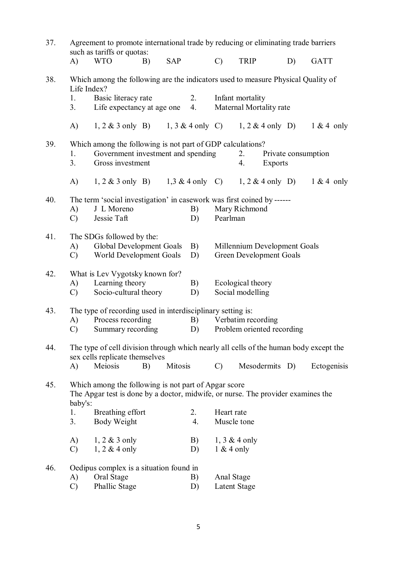| 37. | Agreement to promote international trade by reducing or eliminating trade barriers<br>such as tariffs or quotas:<br><b>SAP</b><br><b>WTO</b><br>A)<br>B) |                                                                                                                                                                |    | $\mathcal{C}$             | <b>TRIP</b>      |                                             | D)                                                  | <b>GATT</b>    |  |             |
|-----|----------------------------------------------------------------------------------------------------------------------------------------------------------|----------------------------------------------------------------------------------------------------------------------------------------------------------------|----|---------------------------|------------------|---------------------------------------------|-----------------------------------------------------|----------------|--|-------------|
|     |                                                                                                                                                          |                                                                                                                                                                |    |                           |                  |                                             |                                                     |                |  |             |
| 38. | Life Index?                                                                                                                                              | Which among the following are the indicators used to measure Physical Quality of                                                                               |    |                           |                  |                                             |                                                     |                |  |             |
|     | 1.<br>3.                                                                                                                                                 | Basic literacy rate<br>Life expectancy at age one                                                                                                              |    |                           | 2.<br>4.         | Infant mortality<br>Maternal Mortality rate |                                                     |                |  |             |
|     | A)                                                                                                                                                       | 1, 2 & 3 only B) 1, 3 & 4 only C) 1, 2 & 4 only D) 1 & 4 only                                                                                                  |    |                           |                  |                                             |                                                     |                |  |             |
| 39. | Which among the following is not part of GDP calculations?<br>Government investment and spending<br>1.<br>3.<br>Gross investment                         |                                                                                                                                                                |    |                           | 2.<br>4.         | <b>Exports</b>                              | Private consumption                                 |                |  |             |
|     | A)                                                                                                                                                       | 1, 2 & 3 only B) 1, 3 & 4 only C) 1, 2 & 4 only D) 1 & 4 only                                                                                                  |    |                           |                  |                                             |                                                     |                |  |             |
| 40. | The term 'social investigation' in casework was first coined by ------<br>J L Moreno<br>B)<br>A)<br>Jessie Taft<br>$\mathcal{C}$<br>D)                   |                                                                                                                                                                |    | Mary Richmond<br>Pearlman |                  |                                             |                                                     |                |  |             |
| 41. | A)<br>C)                                                                                                                                                 | The SDGs followed by the:<br>Global Development Goals<br>B)<br>Millennium Development Goals<br>World Development Goals<br><b>Green Development Goals</b><br>D) |    |                           |                  |                                             |                                                     |                |  |             |
| 42. | A)<br>$\mathcal{C}$                                                                                                                                      | What is Lev Vygotsky known for?<br>Learning theory<br>Socio-cultural theory                                                                                    |    |                           | B)<br>D)         |                                             | Ecological theory<br>Social modelling               |                |  |             |
| 43. |                                                                                                                                                          | The type of recording used in interdisciplinary setting is:                                                                                                    |    |                           |                  |                                             |                                                     |                |  |             |
|     | A)<br>$\mathcal{C}$                                                                                                                                      | Process recording<br>Summary recording                                                                                                                         |    |                           | D)               |                                             | B) Verbatim recording<br>Problem oriented recording |                |  |             |
| 44. |                                                                                                                                                          | The type of cell division through which nearly all cells of the human body except the                                                                          |    |                           |                  |                                             |                                                     |                |  |             |
|     | A)                                                                                                                                                       | sex cells replicate themselves<br>Meiosis                                                                                                                      | B) | Mitosis                   |                  | $\mathcal{C}$                               |                                                     | Mesodermits D) |  | Ectogenisis |
| 45. | baby's:                                                                                                                                                  | Which among the following is not part of Apgar score<br>The Apgar test is done by a doctor, midwife, or nurse. The provider examines the                       |    |                           |                  |                                             |                                                     |                |  |             |
|     | 1.                                                                                                                                                       | Breathing effort                                                                                                                                               |    |                           | 2.               | Heart rate                                  |                                                     |                |  |             |
|     | 3.                                                                                                                                                       | Body Weight                                                                                                                                                    |    |                           | $\overline{4}$ . | Muscle tone                                 |                                                     |                |  |             |
|     | A)<br>$\mathcal{C}$                                                                                                                                      | $1, 2 \& 3$ only<br>$1, 2 \& 4$ only                                                                                                                           |    |                           | B)<br>D)         | $1 & 4$ only                                | 1, $3 & 4$ only                                     |                |  |             |
| 46. |                                                                                                                                                          | Oedipus complex is a situation found in                                                                                                                        |    |                           |                  |                                             |                                                     |                |  |             |
|     | A)                                                                                                                                                       | Oral Stage<br>Phallic Stage                                                                                                                                    |    |                           | B)               | Anal Stage<br><b>Latent Stage</b>           |                                                     |                |  |             |
|     | $\mathcal{C}$                                                                                                                                            |                                                                                                                                                                |    |                           | D)               |                                             |                                                     |                |  |             |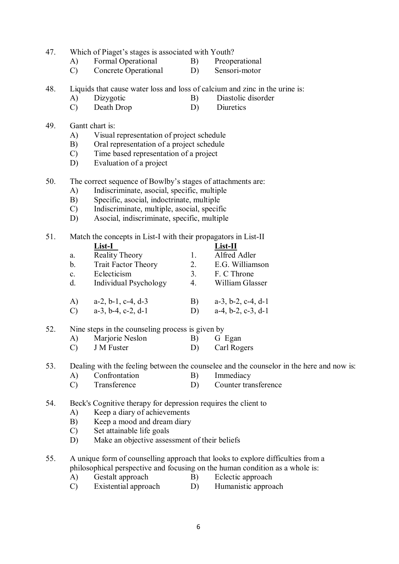- 47. Which of Piaget's stages is associated with Youth?
	- A) Formal Operational B) Preoperational
	- C) Concrete Operational D) Sensori-motor
- 48. Liquids that cause water loss and loss of calcium and zinc in the urine is:
	- A) Dizygotic B) Diastolic disorder
	- C) Death Drop D) Diuretics
- 49. Gantt chart is:
	- A) Visual representation of project schedule
	- B) Oral representation of a project schedule
	- C) Time based representation of a project
	- D) Evaluation of a project
- 50. The correct sequence of Bowlby's stages of attachments are:
	- A) Indiscriminate, asocial, specific, multiple
	- B) Specific, asocial, indoctrinate, multiple
	- C) Indiscriminate, multiple, asocial, specific
	- D) Asocial, indiscriminate, specific, multiple

51. Match the concepts in List-I with their propagators in List-II<br> $I \text{ ist } \mathbf{I}$ **List-I List-II**

|                | енясті                        |               | еняс-п                        |
|----------------|-------------------------------|---------------|-------------------------------|
| a.             | <b>Reality Theory</b>         |               | Alfred Adler                  |
| $\mathbf b$ .  | <b>Trait Factor Theory</b>    | 2.            | E.G. Williamson               |
| $\mathbf{c}$ . | Eclecticism                   | $\mathcal{E}$ | F. C Throne                   |
| $\mathbf{d}$ . | Individual Psychology         | 4.            | William Glasser               |
|                |                               |               |                               |
| A)             | $a-2$ , $b-1$ , $c-4$ , $d-3$ | B)            | $a-3$ , $b-2$ , $c-4$ , $d-1$ |
| $\mathcal{C}$  | $a-3$ , $b-4$ , $c-2$ , $d-1$ | D)            | $a-4$ , $b-2$ , $c-3$ , $d-1$ |

- 52. Nine steps in the counseling process is given by
	- A) Marjorie Neslon B) G Egan
	- C) J M Fuster D) Carl Rogers
- 53. Dealing with the feeling between the counselee and the counselor in the here and now is:
	- A) Confrontation B) Immediacy
	- C) Transference D) Counter transference

# 54. Beck's Cognitive therapy for depression requires the client to

- A) Keep a diary of achievements
- B) Keep a mood and dream diary
- C) Set attainable life goals
- D) Make an objective assessment of their beliefs
- 55. A unique form of counselling approach that looks to explore difficulties from a philosophical perspective and focusing on the human condition as a whole is:
	- A) Gestalt approach B) Eclectic approach
	- C) Existential approach D) Humanistic approach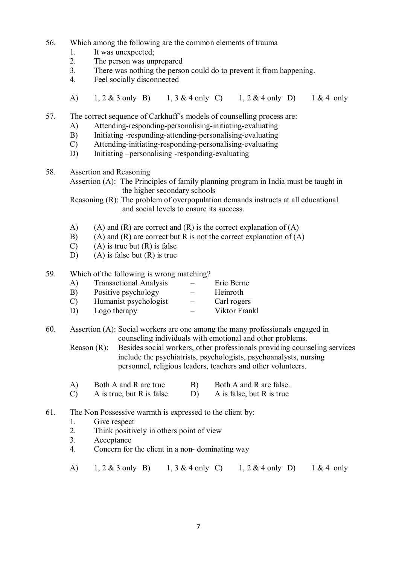- 56. Which among the following are the common elements of trauma
	- 1. It was unexpected;
	- 2. The person was unprepared
	- 3. There was nothing the person could do to prevent it from happening.
	- 4. Feel socially disconnected
	- A) 1, 2 & 3 only B) 1, 3 & 4 only C) 1, 2 & 4 only D) 1 & 4 only

57. The correct sequence of Carkhuff's models of counselling process are:

- A) Attending-responding-personalising-initiating-evaluating
- B) Initiating -responding-attending-personalising-evaluating
- C) Attending-initiating-responding-personalising-evaluating
- D) Initiating –personalising -responding-evaluating
- 58. Assertion and Reasoning

Assertion (A): The Principles of family planning program in India must be taught in the higher secondary schools

Reasoning (R): The problem of overpopulation demands instructs at all educational and social levels to ensure its success.

- A) (A) and (R) are correct and (R) is the correct explanation of  $(A)$
- B) (A) and  $(R)$  are correct but R is not the correct explanation of  $(A)$
- $(C)$  (A) is true but  $(R)$  is false
- D) (A) is false but  $(R)$  is true
- 59. Which of the following is wrong matching?
	- A) Transactional Analysis Eric Berne
	- B) Positive psychology Heinroth
	- C) Humanist psychologist Carl rogers
	- D) Logo therapy Viktor Frankl

60. Assertion (A): Social workers are one among the many professionals engaged in counseling individuals with emotional and other problems.

Reason (R): Besides social workers, other professionals providing counseling services include the psychiatrists, psychologists, psychoanalysts, nursing personnel, religious leaders, teachers and other volunteers.

- A) Both A and R are true B) Both A and R are false.<br>
C) A is true, but R is false D) A is false, but R is true
- A is true, but  $R$  is false
- 61. The Non Possessive warmth is expressed to the client by:
	- 1. Give respect
	- 2. Think positively in others point of view
	- 3. Acceptance
	- 4. Concern for the client in a non- dominating way
	- A) 1, 2 & 3 only B) 1, 3 & 4 only C) 1, 2 & 4 only D) 1 & 4 only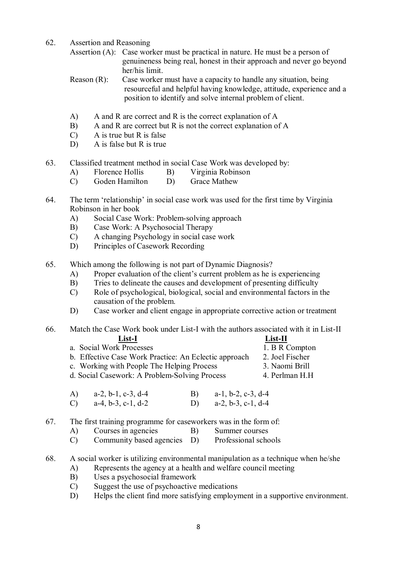62. Assertion and Reasoning

Assertion (A): Case worker must be practical in nature. He must be a person of genuineness being real, honest in their approach and never go beyond her/his limit.

Reason (R): Case worker must have a capacity to handle any situation, being resourceful and helpful having knowledge, attitude, experience and a position to identify and solve internal problem of client.

- A) A and R are correct and R is the correct explanation of A
- B) A and R are correct but R is not the correct explanation of A
- C) A is true but R is false
- D) A is false but R is true
- 63. Classified treatment method in social Case Work was developed by:
	- A) Florence Hollis B) Virginia Robinson
	- C) Goden Hamilton D) Grace Mathew
- 64. The term 'relationship' in social case work was used for the first time by Virginia Robinson in her book
	- A) Social Case Work: Problem-solving approach
	- B) Case Work: A Psychosocial Therapy
	- C) A changing Psychology in social case work<br>
	D) Principles of Casework Recording
	- Principles of Casework Recording
- 65. Which among the following is not part of Dynamic Diagnosis?
	- A) Proper evaluation of the client's current problem as he is experiencing
	- B) Tries to delineate the causes and development of presenting difficulty
	- C) Role of psychological, biological, social and environmental factors in the causation of the problem.
	- D) Case worker and client engage in appropriate corrective action or treatment

# 66. Match the Case Work book under List-I with the authors associated with it in List-II

| List-I                                                | $List-II$       |
|-------------------------------------------------------|-----------------|
| a. Social Work Processes                              | 1. B R Compton  |
| b. Effective Case Work Practice: An Eclectic approach | 2. Joel Fischer |
| c. Working with People The Helping Process            | 3. Naomi Brill  |
| d. Social Casework: A Problem-Solving Process         | 4. Perlman H.H. |
|                                                       |                 |

A) a-2, b-1, c-3, d-4 B) a-1, b-2, c-3, d-4 C) a-4, b-3, c-1, d-2 D) a-2, b-3, c-1, d-4

# 67. The first training programme for caseworkers was in the form of:

- A) Courses in agencies B) Summer courses
	- C) Community based agencies D) Professional schools
- 68. A social worker is utilizing environmental manipulation as a technique when he/she
	- A) Represents the agency at a health and welfare council meeting
	- B) Uses a psychosocial framework
	- C) Suggest the use of psychoactive medications
	- D) Helps the client find more satisfying employment in a supportive environment.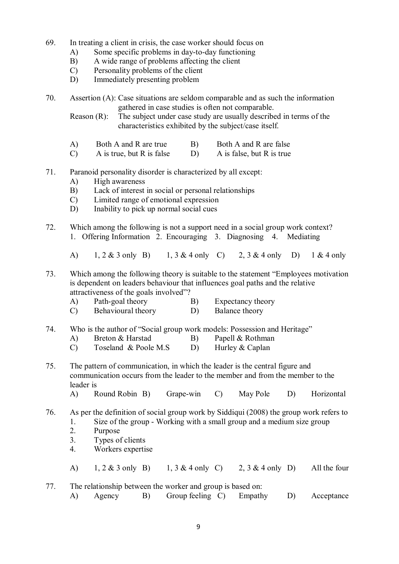- 69. In treating a client in crisis, the case worker should focus on
	- A) Some specific problems in day-to-day functioning
	- B) A wide range of problems affecting the client
	- C) Personality problems of the client
	- D) Immediately presenting problem
- 70. Assertion (A): Case situations are seldom comparable and as such the information gathered in case studies is often not comparable.

Reason (R): The subject under case study are usually described in terms of the characteristics exhibited by the subject/case itself.

- A) Both A and R are true B) Both A and R are false
- $(C)$  A is true, but R is false  $(D)$  A is false, but R is true
- 71. Paranoid personality disorder is characterized by all except:
	- A) High awareness
	- B) Lack of interest in social or personal relationships
	- C) Limited range of emotional expression
	- D) Inability to pick up normal social cues
- 72. Which among the following is not a support need in a social group work context? 1. Offering Information 2. Encouraging 3. Diagnosing 4. Mediating

A) 1, 2 & 3 only B) 1, 3 & 4 only C) 2, 3 & 4 only D) 1 & 4 only

73. Which among the following theory is suitable to the statement "Employees motivation is dependent on leaders behaviour that influences goal paths and the relative attractiveness of the goals involved"?

- A) Path-goal theory B) Expectancy theory
- C) Behavioural theory D) Balance theory
- 74. Who is the author of "Social group work models: Possession and Heritage"
	- A) Breton & Harstad B) Papell & Rothman
	- C) Toseland & Poole M.S D) Hurley & Caplan

75. The pattern of communication, in which the leader is the central figure and communication occurs from the leader to the member and from the member to the leader is

A) Round Robin B) Grape-win C) May Pole D) Horizontal

76. As per the definition of social group work by Siddiqui (2008) the group work refers to 1. Size of the group - Working with a small group and a medium size group

- 2. Purpose
- 3. Types of clients
- 4. Workers expertise
- A)  $1, 2 \& 3$  only B)  $1, 3 \& 4$  only C)  $2, 3 \& 4$  only D) All the four

77. The relationship between the worker and group is based on: A) Agency B) Group feeling C) Empathy D) Acceptance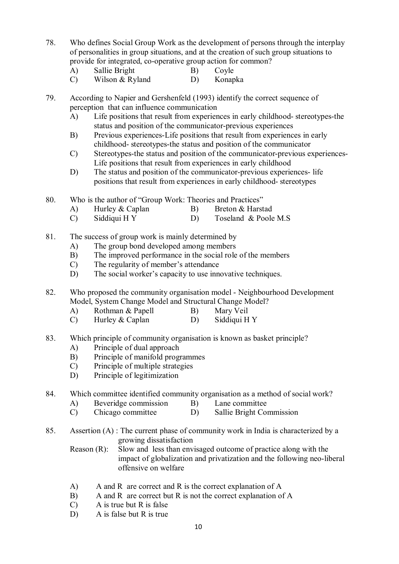- 78. Who defines Social Group Work as the development of persons through the interplay of personalities in group situations, and at the creation of such group situations to provide for integrated, co-operative group action for common?
	- A) Sallie Bright B) Coyle
	- C) Wilson & Ryland D) Konapka
- 79. According to Napier and Gershenfeld (1993) identify the correct sequence of perception that can influence communication
	- A) Life positions that result from experiences in early childhood- stereotypes-the status and position of the communicator-previous experiences
	- B) Previous experiences-Life positions that result from experiences in early childhood- stereotypes-the status and position of the communicator
	- C) Stereotypes-the status and position of the communicator-previous experiences-Life positions that result from experiences in early childhood
	- D) The status and position of the communicator-previous experiences- life positions that result from experiences in early childhood- stereotypes
- 80. Who is the author of "Group Work: Theories and Practices"
	- A) Hurley & Caplan B) Breton & Harstad
	- C) Siddiqui H Y D) Toseland & Poole M.S
- 81. The success of group work is mainly determined by
	- A) The group bond developed among members
	- B) The improved performance in the social role of the members
	- C) The regularity of member's attendance
	- D) The social worker's capacity to use innovative techniques.
- 82. Who proposed the community organisation model Neighbourhood Development Model, System Change Model and Structural Change Model?
	- A) Rothman & Papell B) Mary Veil
	- C) Hurley & Caplan D) Siddiqui H Y
- 83. Which principle of community organisation is known as basket principle?
	- A) Principle of dual approach
	- B) Principle of manifold programmes
	- C) Principle of multiple strategies
	- D) Principle of legitimization

# 84. Which committee identified community organisation as a method of social work?

- A) Beveridge commission B) Lane committee
- C) Chicago committee D) Sallie Bright Commission
- 85. Assertion (A) : The current phase of community work in India is characterized by a growing dissatisfaction
	- Reason (R): Slow and less than envisaged outcome of practice along with the impact of globalization and privatization and the following neo-liberal offensive on welfare
	- A) A and R are correct and R is the correct explanation of A
	- B) A and R are correct but R is not the correct explanation of A
	- C) A is true but R is false
	- D) A is false but R is true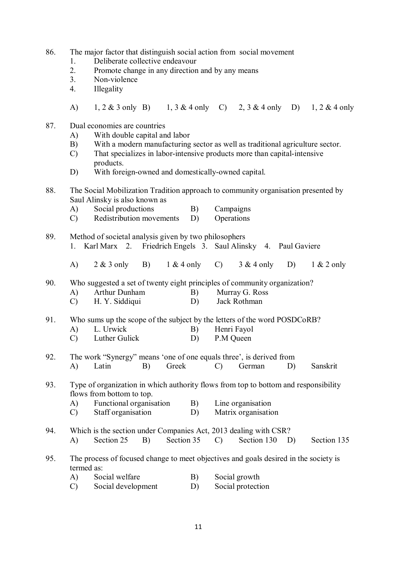| 86. |  |  |  | The major factor that distinguish social action from social movement |
|-----|--|--|--|----------------------------------------------------------------------|
|     |  |  |  |                                                                      |

- 1. Deliberate collective endeavour
- 2. Promote change in any direction and by any means
- 3. Non-violence
- 4. Illegality
- A) 1, 2 & 3 only B) 1, 3 & 4 only C) 2, 3 & 4 only D) 1, 2 & 4 only
- 87. Dual economies are countries
	- A) With double capital and labor
	- B) With a modern manufacturing sector as well as traditional agriculture sector.
	- C) That specializes in labor-intensive products more than capital-intensive products.
	- D) With foreign-owned and domestically-owned capital.
- 88. The Social Mobilization Tradition approach to community organisation presented by Saul Alinsky is also known as
	- A) Social productions B) Campaigns
	- C) Redistribution movements D) Operations
- 89. Method of societal analysis given by two philosophers 1. Karl Marx 2. Friedrich Engels 3. Saul Alinsky 4. Paul Gaviere A) 2 & 3 only B) 1 & 4 only C) 3 & 4 only D) 1 & 2 only

90. Who suggested a set of twenty eight principles of community organization?

- A) Arthur Dunham B) Murray G. Ross
- C) H. Y. Siddiqui D) Jack Rothman

91. Who sums up the scope of the subject by the letters of the word POSDCoRB?

- A) L. Urwick B) Henri Fayol
- C) Luther Gulick D) P.M Queen
- 92. The work "Synergy" means 'one of one equals three', is derived from A) Latin B) Greek C) German D) Sanskrit
- 93. Type of organization in which authority flows from top to bottom and responsibility flows from bottom to top.
	- A) Functional organisation B) Line organisation
	- C) Staff organisation D) Matrix organisation
- 94. Which is the section under Companies Act, 2013 dealing with CSR?
	- A) Section 25 B) Section 35 C) Section 130 D) Section 135
- 95. The process of focused change to meet objectives and goals desired in the society is termed as:
	- A) Social welfare B) Social growth
	- C) Social development D) Social protection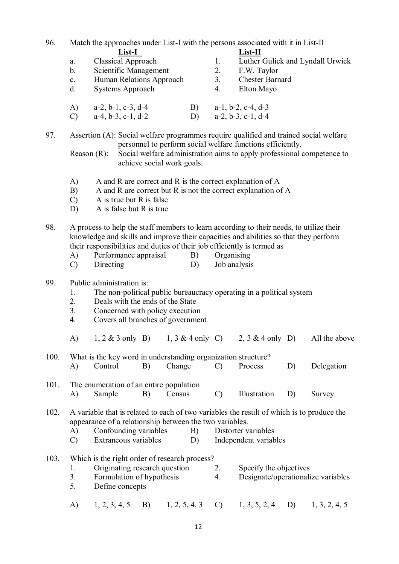96. Match the approaches under List-I with the persons associated with it in List-II **List-I List-II** a. Classical Approach 1. Luther Gulick and Lyndall Urwick b. Scientific Management 2. F.W. Taylor c. Human Relations Approach 3. Chester Barnard d. Systems Approach 4. Elton Mayo A) a-2, b-1, c-3, d-4 B) a-1, b-2, c-4, d-3 C)  $a-4, b-3, c-1, d-2$  D)  $a-2, b-3, c-1, d-4$ 97. Assertion (A): Social welfare programmes require qualified and trained social welfare personnel to perform social welfare functions efficiently. Reason (R): Social welfare administration aims to apply professional competence to achieve social work goals. A) A and R are correct and R is the correct explanation of A B) A and R are correct but R is not the correct explanation of A C) A is true but R is false D) A is false but R is true 98. A process to help the staff members to learn according to their needs, to utilize their knowledge and skills and improve their capacities and abilities so that they perform their responsibilities and duties of their job efficiently is termed as A) Performance appraisal B) Organising C) Directing D) Job analysis 99. Public administration is: 1. The non-political public bureaucracy operating in a political system 2. Deals with the ends of the State 3. Concerned with policy execution 4. Covers all branches of government A)  $1, 2 \& 3$  only B)  $1, 3 \& 4$  only C)  $2, 3 \& 4$  only D) All the above 100. What is the key word in understanding organization structure? A) Control B) Change C) Process D) Delegation 101. The enumeration of an entire population<br>A) Sample B) Census A) Sample B) Census C) Illustration D) Survey 102. A variable that is related to each of two variables the result of which is to produce the appearance of a relationship between the two variables. A) Confounding variables B) Distorter variables C) Extraneous variables D) Independent variables 103. Which is the right order of research process? 1. Originating research question 2. Specify the objectives 3. Formulation of hypothesis 4. Designate/operationalize variables 5. Define concepts A) 1, 2, 3, 4, 5 B) 1, 2, 5, 4, 3 C) 1, 3, 5, 2, 4 D) 1, 3, 2, 4, 5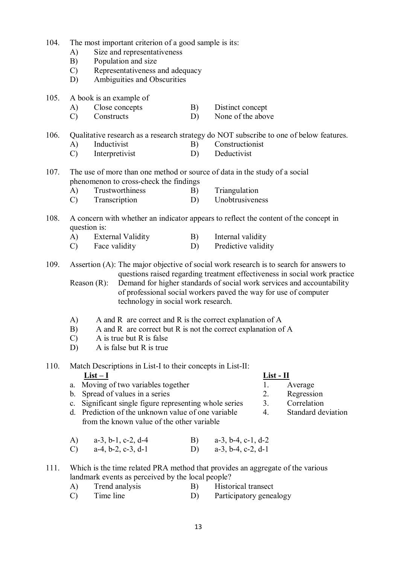- 104. The most important criterion of a good sample is its:
	- A) Size and representativeness
	- B) Population and size
	- C) Representativeness and adequacy
	- D) Ambiguities and Obscurities
- 105. A book is an example of
	- A) Close concepts B) Distinct concept
	- C) Constructs D) None of the above

106. Qualitative research as a research strategy do NOT subscribe to one of below features.

- A) Inductivist B) Constructionist
- C) Interpretivist D) Deductivist
- 107. The use of more than one method or source of data in the study of a social phenomenon to cross-check the findings
	- A) Trustworthiness B) Triangulation
	- C) Transcription D) Unobtrusiveness
- 108. A concern with whether an indicator appears to reflect the content of the concept in question is:
	- A) External Validity B) Internal validity
	- C) Face validity D) Predictive validity

109. Assertion (A): The major objective of social work research is to search for answers to questions raised regarding treatment effectiveness in social work practice

Reason (R): Demand for higher standards of social work services and accountability of professional social workers paved the way for use of computer technology in social work research.

- A) A and R are correct and R is the correct explanation of A
- B) A and R are correct but R is not the correct explanation of A
- C) A is true but R is false
- D) A is false but R is true

# 110. Match Descriptions in List-I to their concepts in List-II:

- a. Moving of two variables together 1. Average<br>
b. Spread of values in a series 2. Regression
- b. Spread of values in a series
- c. Significant single figure representing whole series 3. Correlation
- d. Prediction of the unknown value of one variable 4. Standard deviation from the known value of the other variable

| A) $a-3, b-1, c-2, d-4$ | B) $a-3, b-4, c-1, d-2$ |
|-------------------------|-------------------------|
| C) $a-4, b-2, c-3, d-1$ | D) $a-3, b-4, c-2, d-1$ |

# 111. Which is the time related PRA method that provides an aggregate of the various landmark events as perceived by the local people?

- A) Trend analysis B) Historical transect
- C) Time line D) Participatory genealogy

# **List – I List - II**

- -